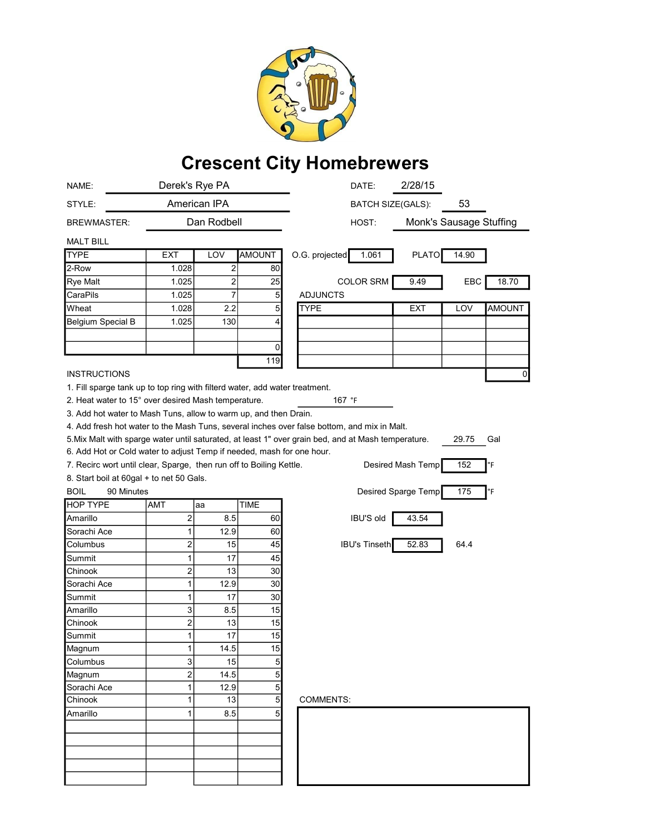

## Crescent City Homebrewers

| NAME:                                                                       |                         | Derek's Rye PA          |                | 2/28/15<br>DATE:                                                                                                    |
|-----------------------------------------------------------------------------|-------------------------|-------------------------|----------------|---------------------------------------------------------------------------------------------------------------------|
| STYLE:                                                                      | American IPA            |                         |                | 53<br><b>BATCH SIZE(GALS):</b>                                                                                      |
| <b>BREWMASTER:</b>                                                          |                         | Dan Rodbell             |                | Monk's Sausage Stuffing<br>HOST:                                                                                    |
| <b>MALT BILL</b>                                                            |                         |                         |                |                                                                                                                     |
| <b>TYPE</b>                                                                 | EXT                     | LOV                     | <b>AMOUNT</b>  | O.G. projected<br>1.061<br><b>PLATO</b><br>14.90                                                                    |
| 2-Row                                                                       | 1.028                   | $\overline{\mathbf{c}}$ | 80             |                                                                                                                     |
| <b>Rye Malt</b>                                                             | 1.025                   | 2                       | 25             | <b>COLOR SRM</b><br>9.49<br><b>EBC</b><br>18.70                                                                     |
| CaraPils                                                                    | 1.025                   | 7                       | 5              | <b>ADJUNCTS</b>                                                                                                     |
| Wheat                                                                       | 1.028                   | 2.2                     | 5              | <b>AMOUNT</b><br>TYPE<br>EXT<br>LOV                                                                                 |
| <b>Belgium Special B</b>                                                    | 1.025                   | 130                     | 4              |                                                                                                                     |
|                                                                             |                         |                         |                |                                                                                                                     |
|                                                                             |                         |                         | 0              |                                                                                                                     |
|                                                                             |                         |                         | 119            |                                                                                                                     |
| <b>INSTRUCTIONS</b>                                                         |                         |                         |                | 0                                                                                                                   |
| 1. Fill sparge tank up to top ring with filterd water, add water treatment. |                         |                         |                |                                                                                                                     |
| 2. Heat water to 15° over desired Mash temperature.                         |                         |                         |                | 167 °F                                                                                                              |
| 3. Add hot water to Mash Tuns, allow to warm up, and then Drain.            |                         |                         |                |                                                                                                                     |
|                                                                             |                         |                         |                | 4. Add fresh hot water to the Mash Tuns, several inches over false bottom, and mix in Malt.                         |
|                                                                             |                         |                         |                | 5. Mix Malt with sparge water until saturated, at least 1" over grain bed, and at Mash temperature.<br>29.75<br>Gal |
| 6. Add Hot or Cold water to adjust Temp if needed, mash for one hour.       |                         |                         |                |                                                                                                                     |
| 7. Recirc wort until clear, Sparge, then run off to Boiling Kettle.         |                         |                         |                | Desired Mash Temp<br>152<br>°F                                                                                      |
| 8. Start boil at 60gal + to net 50 Gals.                                    |                         |                         |                |                                                                                                                     |
| <b>BOIL</b><br>90 Minutes                                                   |                         |                         |                | Desired Sparge Temp<br>175<br>°F                                                                                    |
| <b>HOP TYPE</b>                                                             | AMT                     | aa                      | <b>TIME</b>    |                                                                                                                     |
| Amarillo                                                                    | $\overline{\mathbf{c}}$ | 8.5                     | 60             | <b>IBU'S old</b><br>43.54                                                                                           |
| Sorachi Ace                                                                 | 1                       | 12.9                    | 60             |                                                                                                                     |
| Columbus                                                                    | $\overline{\mathbf{c}}$ | 15                      | 45             | <b>IBU's Tinseth</b><br>52.83<br>64.4                                                                               |
| Summit                                                                      | 1                       | 17                      | 45             |                                                                                                                     |
| Chinook                                                                     | $\overline{\mathbf{c}}$ | 13                      | 30             |                                                                                                                     |
| Sorachi Ace                                                                 | 1                       | 12.9                    | 30             |                                                                                                                     |
| Summit                                                                      | 1                       | 17                      | 30             |                                                                                                                     |
| Amarillo                                                                    | 3                       | 8.5                     | 15             |                                                                                                                     |
| Chinook                                                                     | 2                       | 13                      | 15             |                                                                                                                     |
| Summit                                                                      | 1                       | 17                      | 15             |                                                                                                                     |
| Magnum                                                                      | $\mathbf{1}$            | 14.5                    | 15             |                                                                                                                     |
| Columbus                                                                    | 3                       | 15                      | $\overline{5}$ |                                                                                                                     |
| Magnum                                                                      | $\overline{\mathbf{c}}$ | 14.5                    | $\overline{5}$ |                                                                                                                     |
| Sorachi Ace                                                                 | $\mathbf{1}$            | 12.9                    | $\overline{5}$ |                                                                                                                     |
| Chinook                                                                     | 1                       | 13                      | $\overline{5}$ | <b>COMMENTS:</b>                                                                                                    |
| Amarillo                                                                    | 1                       | 8.5                     | 5 <sup>5</sup> |                                                                                                                     |
|                                                                             |                         |                         |                |                                                                                                                     |
|                                                                             |                         |                         |                |                                                                                                                     |
|                                                                             |                         |                         |                |                                                                                                                     |
|                                                                             |                         |                         |                |                                                                                                                     |
|                                                                             |                         |                         |                |                                                                                                                     |
|                                                                             |                         |                         |                |                                                                                                                     |